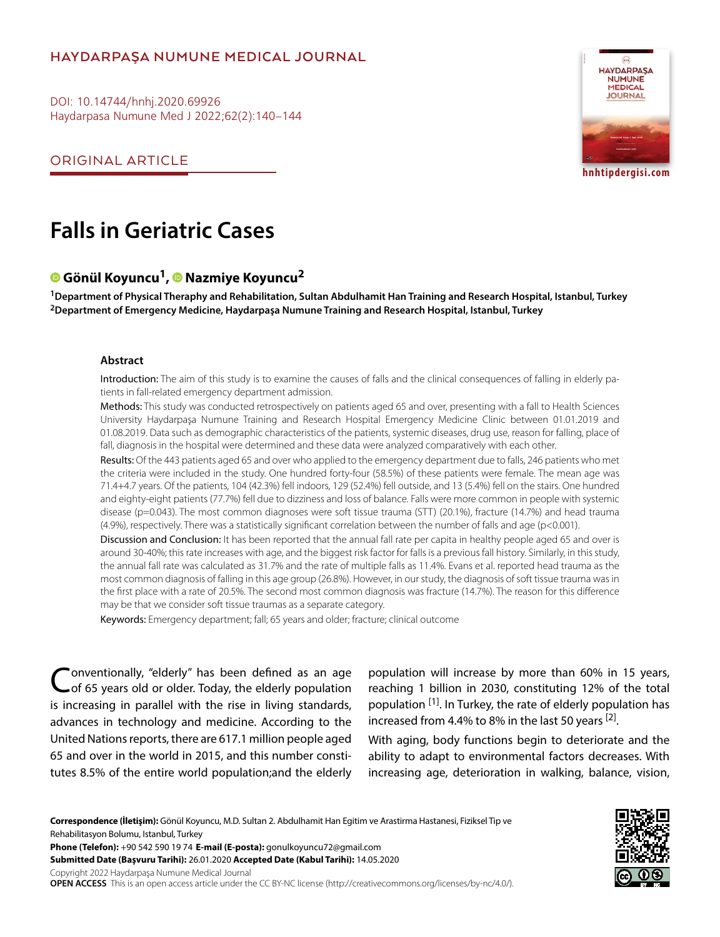# **HAYDARPAŞA NUMUNE MEDICAL JOURNAL**

DOI: 10.14744/hnhj.2020.69926 Haydarpasa Numune Med J 2022;62(2):140–144

ORIGINAL ARTICLE



**hnhtipdergisi.com**

# **Falls in Geriatric Cases**

# **Gönül Koyuncu1,Nazmiye Koyuncu2**

**1Department of Physical Theraphy and Rehabilitation, Sultan Abdulhamit Han Training and Research Hospital, Istanbul, Turkey 2Department of Emergency Medicine, Haydarpaşa Numune Training and Research Hospital, Istanbul, Turkey**

#### **Abstract**

Introduction: The aim of this study is to examine the causes of falls and the clinical consequences of falling in elderly patients in fall-related emergency department admission.

Methods: This study was conducted retrospectively on patients aged 65 and over, presenting with a fall to Health Sciences University Haydarpaşa Numune Training and Research Hospital Emergency Medicine Clinic between 01.01.2019 and 01.08.2019. Data such as demographic characteristics of the patients, systemic diseases, drug use, reason for falling, place of fall, diagnosis in the hospital were determined and these data were analyzed comparatively with each other.

Results: Of the 443 patients aged 65 and over who applied to the emergency department due to falls, 246 patients who met the criteria were included in the study. One hundred forty-four (58.5%) of these patients were female. The mean age was 71.4+4.7 years. Of the patients, 104 (42.3%) fell indoors, 129 (52.4%) fell outside, and 13 (5.4%) fell on the stairs. One hundred and eighty-eight patients (77.7%) fell due to dizziness and loss of balance. Falls were more common in people with systemic disease (p=0.043). The most common diagnoses were soft tissue trauma (STT) (20.1%), fracture (14.7%) and head trauma (4.9%), respectively. There was a statistically significant correlation between the number of falls and age (p<0.001).

Discussion and Conclusion: It has been reported that the annual fall rate per capita in healthy people aged 65 and over is around 30-40%; this rate increases with age, and the biggest risk factor for falls is a previous fall history. Similarly, in this study, the annual fall rate was calculated as 31.7% and the rate of multiple falls as 11.4%. Evans et al. reported head trauma as the most common diagnosis of falling in this age group (26.8%). However, in our study, the diagnosis of soft tissue trauma was in the first place with a rate of 20.5%. The second most common diagnosis was fracture (14.7%). The reason for this difference may be that we consider soft tissue traumas as a separate category.

Keywords: Emergency department; fall; 65 years and older; fracture; clinical outcome

Conventionally, "elderly" has been defined as an age of 65 years old or older. Today, the elderly population is increasing in parallel with the rise in living standards, advances in technology and medicine. According to the United Nations reports, there are 617.1 million people aged 65 and over in the world in 2015, and this number constitutes 8.5% of the entire world population;and the elderly

population will increase by more than 60% in 15 years, reaching 1 billion in 2030, constituting 12% of the total population <sup>[1]</sup>. In Turkey, the rate of elderly population has increased from 4.4% to 8% in the last 50 years  $[2]$ .

With aging, body functions begin to deteriorate and the ability to adapt to environmental factors decreases. With increasing age, deterioration in walking, balance, vision,

**Correspondence (İletişim):** Gönül Koyuncu, M.D. Sultan 2. Abdulhamit Han Egitim ve Arastirma Hastanesi, Fiziksel Tip ve Rehabilitasyon Bolumu, Istanbul, Turkey

**Phone (Telefon):** +90 542 590 19 74 **E-mail (E-posta):** gonulkoyuncu72@gmail.com

**Submitted Date (Başvuru Tarihi):** 26.01.2020 **Accepted Date (Kabul Tarihi):** 14.05.2020

Copyright 2022 Haydarpaşa Numune Medical Journal

**OPEN ACCESS** This is an open access article under the CC BY-NC license (http://creativecommons.org/licenses/by-nc/4.0/).

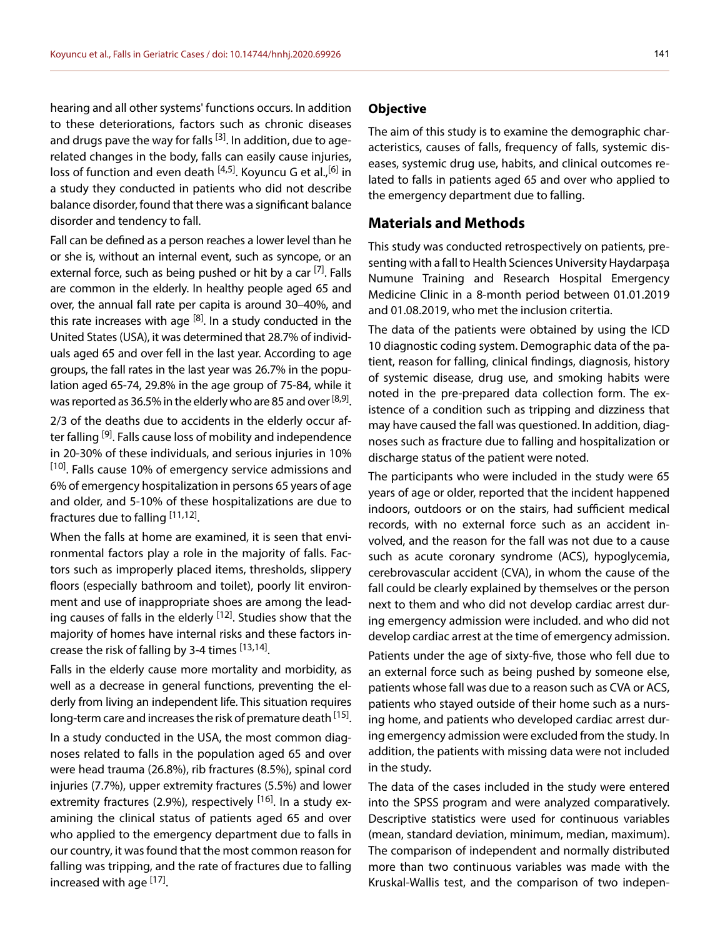hearing and all other systems' functions occurs. In addition to these deteriorations, factors such as chronic diseases and drugs pave the way for falls  $^{[3]}$ . In addition, due to agerelated changes in the body, falls can easily cause injuries, loss of function and even death [4,5]. Koyuncu G et al., [6] in a study they conducted in patients who did not describe balance disorder, found that there was a significant balance disorder and tendency to fall.

Fall can be defined as a person reaches a lower level than he or she is, without an internal event, such as syncope, or an external force, such as being pushed or hit by a car <sup>[7]</sup>. Falls are common in the elderly. In healthy people aged 65 and over, the annual fall rate per capita is around 30–40%, and this rate increases with age  $[8]$ . In a study conducted in the United States (USA), it was determined that 28.7% of individuals aged 65 and over fell in the last year. According to age groups, the fall rates in the last year was 26.7% in the population aged 65-74, 29.8% in the age group of 75-84, while it was reported as 36.5% in the elderly who are 85 and over  $[8,9]$ .

2/3 of the deaths due to accidents in the elderly occur after falling <sup>[9]</sup>. Falls cause loss of mobility and independence in 20-30% of these individuals, and serious injuries in 10% <sup>[10]</sup>. Falls cause 10% of emergency service admissions and 6% of emergency hospitalization in persons 65 years of age and older, and 5-10% of these hospitalizations are due to fractures due to falling [11,12].

When the falls at home are examined, it is seen that environmental factors play a role in the majority of falls. Factors such as improperly placed items, thresholds, slippery floors (especially bathroom and toilet), poorly lit environment and use of inappropriate shoes are among the leading causes of falls in the elderly <sup>[12]</sup>. Studies show that the majority of homes have internal risks and these factors increase the risk of falling by 3-4 times [13,14].

Falls in the elderly cause more mortality and morbidity, as well as a decrease in general functions, preventing the elderly from living an independent life. This situation requires long-term care and increases the risk of premature death [15].

In a study conducted in the USA, the most common diagnoses related to falls in the population aged 65 and over were head trauma (26.8%), rib fractures (8.5%), spinal cord injuries (7.7%), upper extremity fractures (5.5%) and lower extremity fractures (2.9%), respectively <sup>[16]</sup>. In a study examining the clinical status of patients aged 65 and over who applied to the emergency department due to falls in our country, it was found that the most common reason for falling was tripping, and the rate of fractures due to falling increased with age <sup>[17]</sup>.

#### **Objective**

The aim of this study is to examine the demographic characteristics, causes of falls, frequency of falls, systemic diseases, systemic drug use, habits, and clinical outcomes related to falls in patients aged 65 and over who applied to the emergency department due to falling.

#### **Materials and Methods**

This study was conducted retrospectively on patients, presenting with a fall to Health Sciences University Haydarpaşa Numune Training and Research Hospital Emergency Medicine Clinic in a 8-month period between 01.01.2019 and 01.08.2019, who met the inclusion critertia.

The data of the patients were obtained by using the ICD 10 diagnostic coding system. Demographic data of the patient, reason for falling, clinical findings, diagnosis, history of systemic disease, drug use, and smoking habits were noted in the pre-prepared data collection form. The existence of a condition such as tripping and dizziness that may have caused the fall was questioned. In addition, diagnoses such as fracture due to falling and hospitalization or discharge status of the patient were noted.

The participants who were included in the study were 65 years of age or older, reported that the incident happened indoors, outdoors or on the stairs, had sufficient medical records, with no external force such as an accident involved, and the reason for the fall was not due to a cause such as acute coronary syndrome (ACS), hypoglycemia, cerebrovascular accident (CVA), in whom the cause of the fall could be clearly explained by themselves or the person next to them and who did not develop cardiac arrest during emergency admission were included. and who did not develop cardiac arrest at the time of emergency admission.

Patients under the age of sixty-five, those who fell due to an external force such as being pushed by someone else, patients whose fall was due to a reason such as CVA or ACS, patients who stayed outside of their home such as a nursing home, and patients who developed cardiac arrest during emergency admission were excluded from the study. In addition, the patients with missing data were not included in the study.

The data of the cases included in the study were entered into the SPSS program and were analyzed comparatively. Descriptive statistics were used for continuous variables (mean, standard deviation, minimum, median, maximum). The comparison of independent and normally distributed more than two continuous variables was made with the Kruskal-Wallis test, and the comparison of two indepen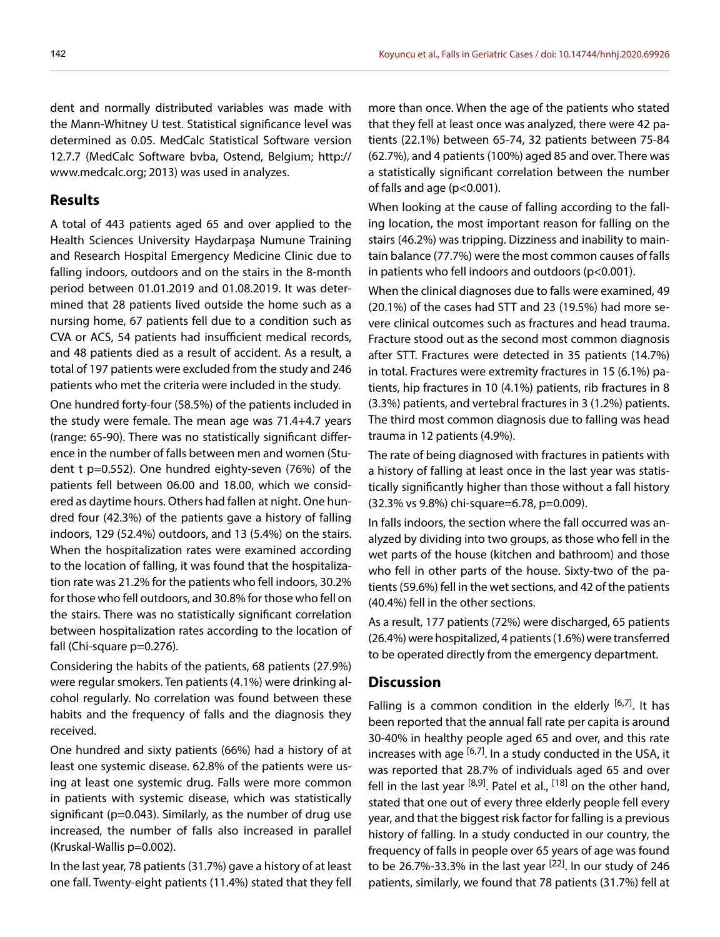dent and normally distributed variables was made with the Mann-Whitney U test. Statistical significance level was determined as 0.05. MedCalc Statistical Software version 12.7.7 (MedCalc Software bvba, Ostend, Belgium; http:// www.medcalc.org; 2013) was used in analyzes.

## **Results**

A total of 443 patients aged 65 and over applied to the Health Sciences University Haydarpaşa Numune Training and Research Hospital Emergency Medicine Clinic due to falling indoors, outdoors and on the stairs in the 8-month period between 01.01.2019 and 01.08.2019. It was determined that 28 patients lived outside the home such as a nursing home, 67 patients fell due to a condition such as CVA or ACS, 54 patients had insufficient medical records, and 48 patients died as a result of accident. As a result, a total of 197 patients were excluded from the study and 246 patients who met the criteria were included in the study.

One hundred forty-four (58.5%) of the patients included in the study were female. The mean age was 71.4+4.7 years (range: 65-90). There was no statistically significant difference in the number of falls between men and women (Student t p=0.552). One hundred eighty-seven (76%) of the patients fell between 06.00 and 18.00, which we considered as daytime hours. Others had fallen at night. One hundred four (42.3%) of the patients gave a history of falling indoors, 129 (52.4%) outdoors, and 13 (5.4%) on the stairs. When the hospitalization rates were examined according to the location of falling, it was found that the hospitalization rate was 21.2% for the patients who fell indoors, 30.2% for those who fell outdoors, and 30.8% for those who fell on the stairs. There was no statistically significant correlation between hospitalization rates according to the location of fall (Chi-square p=0.276).

Considering the habits of the patients, 68 patients (27.9%) were regular smokers. Ten patients (4.1%) were drinking alcohol regularly. No correlation was found between these habits and the frequency of falls and the diagnosis they received.

One hundred and sixty patients (66%) had a history of at least one systemic disease. 62.8% of the patients were using at least one systemic drug. Falls were more common in patients with systemic disease, which was statistically significant (p=0.043). Similarly, as the number of drug use increased, the number of falls also increased in parallel (Kruskal-Wallis p=0.002).

In the last year, 78 patients (31.7%) gave a history of at least one fall. Twenty-eight patients (11.4%) stated that they fell

more than once. When the age of the patients who stated that they fell at least once was analyzed, there were 42 patients (22.1%) between 65-74, 32 patients between 75-84 (62.7%), and 4 patients (100%) aged 85 and over. There was a statistically significant correlation between the number of falls and age (p<0.001).

When looking at the cause of falling according to the falling location, the most important reason for falling on the stairs (46.2%) was tripping. Dizziness and inability to maintain balance (77.7%) were the most common causes of falls in patients who fell indoors and outdoors (p<0.001).

When the clinical diagnoses due to falls were examined, 49 (20.1%) of the cases had STT and 23 (19.5%) had more severe clinical outcomes such as fractures and head trauma. Fracture stood out as the second most common diagnosis after STT. Fractures were detected in 35 patients (14.7%) in total. Fractures were extremity fractures in 15 (6.1%) patients, hip fractures in 10 (4.1%) patients, rib fractures in 8 (3.3%) patients, and vertebral fractures in 3 (1.2%) patients. The third most common diagnosis due to falling was head trauma in 12 patients (4.9%).

The rate of being diagnosed with fractures in patients with a history of falling at least once in the last year was statistically significantly higher than those without a fall history (32.3% vs 9.8%) chi-square=6.78, p=0.009).

In falls indoors, the section where the fall occurred was analyzed by dividing into two groups, as those who fell in the wet parts of the house (kitchen and bathroom) and those who fell in other parts of the house. Sixty-two of the patients (59.6%) fell in the wet sections, and 42 of the patients (40.4%) fell in the other sections.

As a result, 177 patients (72%) were discharged, 65 patients (26.4%) were hospitalized, 4 patients (1.6%) were transferred to be operated directly from the emergency department.

## **Discussion**

Falling is a common condition in the elderly  $[6,7]$ . It has been reported that the annual fall rate per capita is around 30-40% in healthy people aged 65 and over, and this rate increases with age  $[6,7]$ . In a study conducted in the USA, it was reported that 28.7% of individuals aged 65 and over fell in the last year  $[8,9]$ . Patel et al.,  $[18]$  on the other hand, stated that one out of every three elderly people fell every year, and that the biggest risk factor for falling is a previous history of falling. In a study conducted in our country, the frequency of falls in people over 65 years of age was found to be 26.7%-33.3% in the last year  $[22]$ . In our study of 246 patients, similarly, we found that 78 patients (31.7%) fell at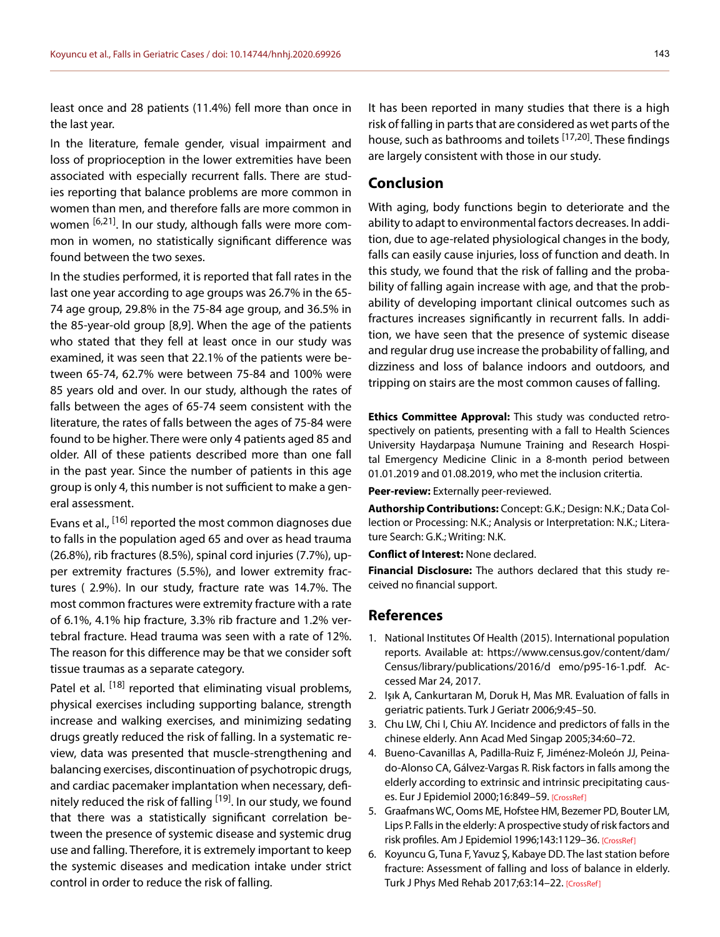least once and 28 patients (11.4%) fell more than once in the last year.

In the literature, female gender, visual impairment and loss of proprioception in the lower extremities have been associated with especially recurrent falls. There are studies reporting that balance problems are more common in women than men, and therefore falls are more common in women <sup>[6,21]</sup>. In our study, although falls were more common in women, no statistically significant difference was found between the two sexes.

In the studies performed, it is reported that fall rates in the last one year according to age groups was 26.7% in the 65- 74 age group, 29.8% in the 75-84 age group, and 36.5% in the 85-year-old group [8,9]. When the age of the patients who stated that they fell at least once in our study was examined, it was seen that 22.1% of the patients were between 65-74, 62.7% were between 75-84 and 100% were 85 years old and over. In our study, although the rates of falls between the ages of 65-74 seem consistent with the literature, the rates of falls between the ages of 75-84 were found to be higher. There were only 4 patients aged 85 and older. All of these patients described more than one fall in the past year. Since the number of patients in this age group is only 4, this number is not sufficient to make a general assessment.

Evans et al., <sup>[16]</sup> reported the most common diagnoses due to falls in the population aged 65 and over as head trauma (26.8%), rib fractures (8.5%), spinal cord injuries (7.7%), upper extremity fractures (5.5%), and lower extremity fractures ( 2.9%). In our study, fracture rate was 14.7%. The most common fractures were extremity fracture with a rate of 6.1%, 4.1% hip fracture, 3.3% rib fracture and 1.2% vertebral fracture. Head trauma was seen with a rate of 12%. The reason for this difference may be that we consider soft tissue traumas as a separate category.

Patel et al. <sup>[18]</sup> reported that eliminating visual problems, physical exercises including supporting balance, strength increase and walking exercises, and minimizing sedating drugs greatly reduced the risk of falling. In a systematic review, data was presented that muscle-strengthening and balancing exercises, discontinuation of psychotropic drugs, and cardiac pacemaker implantation when necessary, definitely reduced the risk of falling <sup>[19]</sup>. In our study, we found that there was a statistically significant correlation between the presence of systemic disease and systemic drug use and falling. Therefore, it is extremely important to keep the systemic diseases and medication intake under strict control in order to reduce the risk of falling.

It has been reported in many studies that there is a high risk of falling in parts that are considered as wet parts of the house, such as bathrooms and toilets [17,20]. These findings are largely consistent with those in our study.

## **Conclusion**

With aging, body functions begin to deteriorate and the ability to adapt to environmental factors decreases. In addition, due to age-related physiological changes in the body, falls can easily cause injuries, loss of function and death. In this study, we found that the risk of falling and the probability of falling again increase with age, and that the probability of developing important clinical outcomes such as fractures increases significantly in recurrent falls. In addition, we have seen that the presence of systemic disease and regular drug use increase the probability of falling, and dizziness and loss of balance indoors and outdoors, and tripping on stairs are the most common causes of falling.

**Ethics Committee Approval:** This study was conducted retrospectively on patients, presenting with a fall to Health Sciences University Haydarpaşa Numune Training and Research Hospital Emergency Medicine Clinic in a 8-month period between 01.01.2019 and 01.08.2019, who met the inclusion critertia.

**Peer-review:** Externally peer-reviewed.

**Authorship Contributions:** Concept: G.K.; Design: N.K.; Data Collection or Processing: N.K.; Analysis or Interpretation: N.K.; Literature Search: G.K.; Writing: N.K.

**Conflict of Interest:** None declared.

**Financial Disclosure:** The authors declared that this study received no financial support.

#### **References**

- 1. National Institutes Of Health (2015). International population reports. Available at: https://www.census.gov/content/dam/ Census/library/publications/2016/d emo/p95-16-1.pdf. Accessed Mar 24, 2017.
- 2. Işık A, Cankurtaran M, Doruk H, Mas MR. Evaluation of falls in geriatric patients. Turk J Geriatr 2006;9:45–50.
- 3. Chu LW, Chi I, Chiu AY. Incidence and predictors of falls in the chinese elderly. Ann Acad Med Singap 2005;34:60–72.
- 4. Bueno-Cavanillas A, Padilla-Ruiz F, Jiménez-Moleón JJ, Peinado-Alonso CA, Gálvez-Vargas R. Risk factors in falls among the elderly according to extrinsic and intrinsic precipitating causes. Eur J Epidemiol 2000;16:849–59. [\[CrossRef\]](https://doi.org/10.1023/A:1007636531965)
- 5. Graafmans WC, Ooms ME, Hofstee HM, Bezemer PD, Bouter LM, Lips P. Falls in the elderly: A prospective study of risk factors and risk profiles. Am J Epidemiol 1996;143:1129–36. [\[CrossRef\]](https://doi.org/10.1093/oxfordjournals.aje.a008690)
- 6. Koyuncu G, Tuna F, Yavuz Ş, Kabaye DD. The last station before fracture: Assessment of falling and loss of balance in elderly. Turk J Phys Med Rehab 2017;63:14–22[. \[CrossRef\]](https://doi.org/10.5606/tftrd.2017.90757)